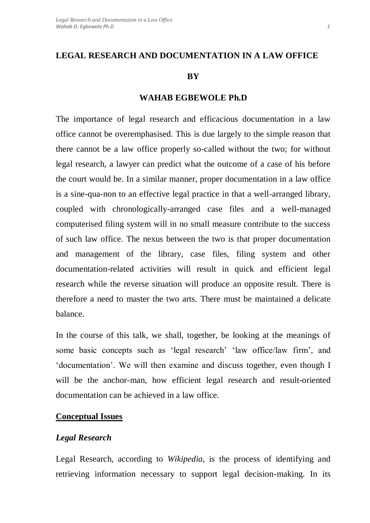### **LEGAL RESEARCH AND DOCUMENTATION IN A LAW OFFICE**

#### **BY**

#### **WAHAB EGBEWOLE Ph.D**

The importance of legal research and efficacious documentation in a law office cannot be overemphasised. This is due largely to the simple reason that there cannot be a law office properly so-called without the two; for without legal research, a lawyer can predict what the outcome of a case of his before the court would be. In a similar manner, proper documentation in a law office is a sine-qua-non to an effective legal practice in that a well-arranged library, coupled with chronologically-arranged case files and a well-managed computerised filing system will in no small measure contribute to the success of such law office. The nexus between the two is that proper documentation and management of the library, case files, filing system and other documentation-related activities will result in quick and efficient legal research while the reverse situation will produce an opposite result. There is therefore a need to master the two arts. There must be maintained a delicate balance.

In the course of this talk, we shall, together, be looking at the meanings of some basic concepts such as 'legal research' 'law office/law firm', and 'documentation'. We will then examine and discuss together, even though I will be the anchor-man, how efficient legal research and result-oriented documentation can be achieved in a law office.

### **Conceptual Issues**

### *Legal Research*

Legal Research, according to *Wikipedia*, is the process of identifying and retrieving information necessary to support legal decision-making. In its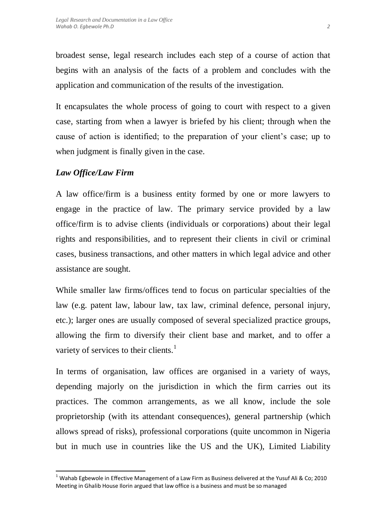broadest sense, legal research includes each step of a course of action that begins with an analysis of the facts of a problem and concludes with the application and communication of the results of the investigation.

It encapsulates the whole process of going to court with respect to a given case, starting from when a lawyer is briefed by his client; through when the cause of action is identified; to the preparation of your client's case; up to when judgment is finally given in the case.

# *Law Office/Law Firm*

 $\overline{\phantom{a}}$ 

A law office/firm is a business entity formed by one or more lawyers to engage in the practice of law. The primary service provided by a law office/firm is to advise clients (individuals or corporations) about their legal rights and responsibilities, and to represent their clients in civil or criminal cases, business transactions, and other matters in which legal advice and other assistance are sought.

While smaller law firms/offices tend to focus on particular specialties of the law (e.g. patent law, labour law, tax law, criminal defence, personal injury, etc.); larger ones are usually composed of several specialized practice groups, allowing the firm to diversify their client base and market, and to offer a variety of services to their clients.<sup>1</sup>

In terms of organisation, law offices are organised in a variety of ways, depending majorly on the jurisdiction in which the firm carries out its practices. The common arrangements, as we all know, include the sole proprietorship (with its attendant consequences), general partnership (which allows spread of risks), professional corporations (quite uncommon in Nigeria but in much use in countries like the US and the UK), Limited Liability

<sup>&</sup>lt;sup>1</sup> Wahab Egbewole in Effective Management of a Law Firm as Business delivered at the Yusuf Ali & Co; 2010 Meeting in Ghalib House Ilorin argued that law office is a business and must be so managed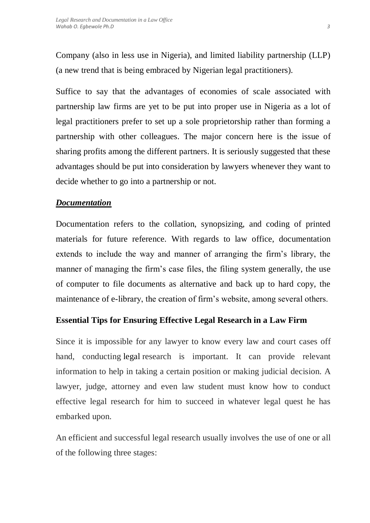Company (also in less use in Nigeria), and limited liability partnership (LLP) (a new trend that is being embraced by Nigerian legal practitioners).

Suffice to say that the advantages of economies of scale associated with partnership law firms are yet to be put into proper use in Nigeria as a lot of legal practitioners prefer to set up a sole proprietorship rather than forming a partnership with other colleagues. The major concern here is the issue of sharing profits among the different partners. It is seriously suggested that these advantages should be put into consideration by lawyers whenever they want to decide whether to go into a partnership or not.

# *Documentation*

Documentation refers to the collation, synopsizing, and coding of printed materials for future reference. With regards to law office, documentation extends to include the way and manner of arranging the firm's library, the manner of managing the firm's case files, the filing system generally, the use of computer to file documents as alternative and back up to hard copy, the maintenance of e-library, the creation of firm's website, among several others.

## **Essential Tips for Ensuring Effective Legal Research in a Law Firm**

Since it is impossible for any lawyer to know every law and court cases off hand, conducting [legal](http://www.ehow.com/legal/) research is important. It can provide relevant information to help in taking a certain position or making judicial decision. A lawyer, judge, attorney and even law student must know how to conduct effective legal research for him to succeed in whatever legal quest he has embarked upon.

An efficient and successful legal research usually involves the use of one or all of the following three stages: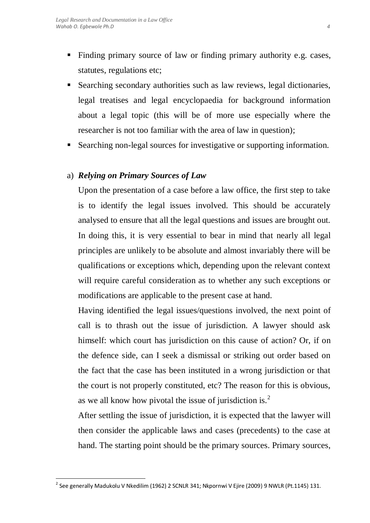- Finding primary source of law or finding primary authority e.g. cases, statutes, regulations etc;
- Searching secondary authorities such as law reviews, legal dictionaries, legal treatises and legal encyclopaedia for background information about a legal topic (this will be of more use especially where the researcher is not too familiar with the area of law in question);
- Searching non-legal sources for investigative or supporting information.

## a) *Relying on Primary Sources of Law*

Upon the presentation of a case before a law office, the first step to take is to identify the legal issues involved. This should be accurately analysed to ensure that all the legal questions and issues are brought out. In doing this, it is very essential to bear in mind that nearly all legal principles are unlikely to be absolute and almost invariably there will be qualifications or exceptions which, depending upon the relevant context will require careful consideration as to whether any such exceptions or modifications are applicable to the present case at hand.

Having identified the legal issues/questions involved, the next point of call is to thrash out the issue of jurisdiction. A lawyer should ask himself: which court has jurisdiction on this cause of action? Or, if on the defence side, can I seek a dismissal or striking out order based on the fact that the case has been instituted in a wrong jurisdiction or that the court is not properly constituted, etc? The reason for this is obvious, as we all know how pivotal the issue of jurisdiction is.<sup>2</sup>

After settling the issue of jurisdiction, it is expected that the lawyer will then consider the applicable laws and cases (precedents) to the case at hand. The starting point should be the primary sources. Primary sources,

 $\overline{a}$ 

 $^{\text{2}}$  See generally Madukolu V Nkedilim (1962) 2 SCNLR 341; Nkpornwi V Ejire (2009) 9 NWLR (Pt.1145) 131.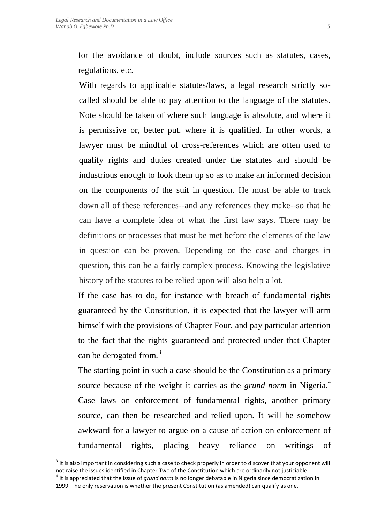With regards to applicable statutes/laws, a legal research strictly socalled should be able to pay attention to the language of the statutes. Note should be taken of where such language is absolute, and where it is permissive or, better put, where it is qualified. In other words, a lawyer must be mindful of cross-references which are often used to qualify rights and duties created under the statutes and should be industrious enough to look them up so as to make an informed decision on the components of the suit in question. He must be able to track down all of these references--and any references they make--so that he can have a complete idea of what the first law says. There may be definitions or processes that must be met before the elements of the law in question can be proven. Depending on the case and charges in question, this can be a fairly complex process. Knowing the legislative history of the statutes to be relied upon will also help a lot.

If the case has to do, for instance with breach of fundamental rights guaranteed by the Constitution, it is expected that the lawyer will arm himself with the provisions of Chapter Four, and pay particular attention to the fact that the rights guaranteed and protected under that Chapter can be derogated from.<sup>3</sup>

The starting point in such a case should be the Constitution as a primary source because of the weight it carries as the *grund norm* in Nigeria. 4 Case laws on enforcement of fundamental rights, another primary source, can then be researched and relied upon. It will be somehow awkward for a lawyer to argue on a cause of action on enforcement of fundamental rights, placing heavy reliance on writings of

 $\overline{a}$ 

 $3$  It is also important in considering such a case to check properly in order to discover that your opponent will not raise the issues identified in Chapter Two of the Constitution which are ordinarily not justiciable.

<sup>4</sup> It is appreciated that the issue of *grund norm* is no longer debatable in Nigeria since democratization in 1999. The only reservation is whether the present Constitution (as amended) can qualify as one.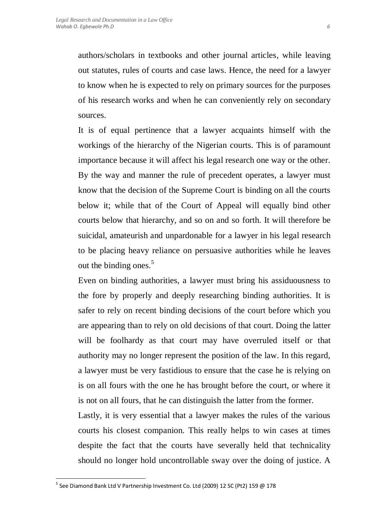authors/scholars in textbooks and other journal articles, while leaving out statutes, rules of courts and case laws. Hence, the need for a lawyer to know when he is expected to rely on primary sources for the purposes of his research works and when he can conveniently rely on secondary sources.

It is of equal pertinence that a lawyer acquaints himself with the workings of the hierarchy of the Nigerian courts. This is of paramount importance because it will affect his legal research one way or the other. By the way and manner the rule of precedent operates, a lawyer must know that the decision of the Supreme Court is binding on all the courts below it; while that of the Court of Appeal will equally bind other courts below that hierarchy, and so on and so forth. It will therefore be suicidal, amateurish and unpardonable for a lawyer in his legal research to be placing heavy reliance on persuasive authorities while he leaves out the binding ones. $5$ 

Even on binding authorities, a lawyer must bring his assiduousness to the fore by properly and deeply researching binding authorities. It is safer to rely on recent binding decisions of the court before which you are appearing than to rely on old decisions of that court. Doing the latter will be foolhardy as that court may have overruled itself or that authority may no longer represent the position of the law. In this regard, a lawyer must be very fastidious to ensure that the case he is relying on is on all fours with the one he has brought before the court, or where it is not on all fours, that he can distinguish the latter from the former.

Lastly, it is very essential that a lawyer makes the rules of the various courts his closest companion. This really helps to win cases at times despite the fact that the courts have severally held that technicality should no longer hold uncontrollable sway over the doing of justice. A

 $\overline{a}$ 

<sup>&</sup>lt;sup>5</sup> See Diamond Bank Ltd V Partnership Investment Co. Ltd (2009) 12 SC (Pt2) 159 @ 178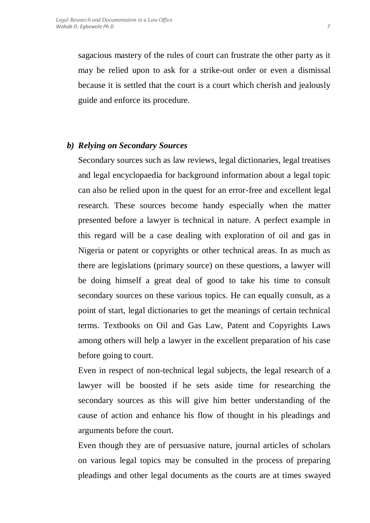sagacious mastery of the rules of court can frustrate the other party as it may be relied upon to ask for a strike-out order or even a dismissal because it is settled that the court is a court which cherish and jealously guide and enforce its procedure.

### *b) Relying on Secondary Sources*

Secondary sources such as law reviews, legal dictionaries, legal treatises and legal encyclopaedia for background information about a legal topic can also be relied upon in the quest for an error-free and excellent legal research. These sources become handy especially when the matter presented before a lawyer is technical in nature. A perfect example in this regard will be a case dealing with exploration of oil and gas in Nigeria or patent or copyrights or other technical areas. In as much as there are legislations (primary source) on these questions, a lawyer will be doing himself a great deal of good to take his time to consult secondary sources on these various topics. He can equally consult, as a point of start, legal dictionaries to get the meanings of certain technical terms. Textbooks on Oil and Gas Law, Patent and Copyrights Laws among others will help a lawyer in the excellent preparation of his case before going to court.

Even in respect of non-technical legal subjects, the legal research of a lawyer will be boosted if he sets aside time for researching the secondary sources as this will give him better understanding of the cause of action and enhance his flow of thought in his pleadings and arguments before the court.

Even though they are of persuasive nature, journal articles of scholars on various legal topics may be consulted in the process of preparing pleadings and other legal documents as the courts are at times swayed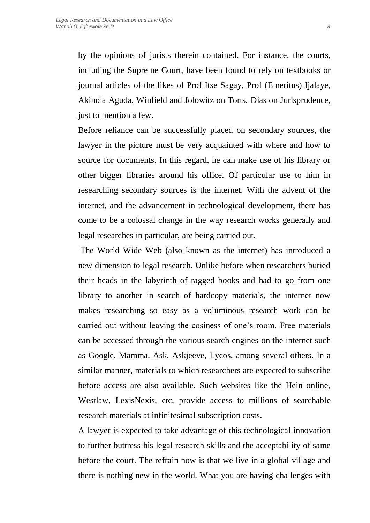by the opinions of jurists therein contained. For instance, the courts, including the Supreme Court, have been found to rely on textbooks or journal articles of the likes of Prof Itse Sagay, Prof (Emeritus) Ijalaye, Akinola Aguda, Winfield and Jolowitz on Torts, Dias on Jurisprudence, just to mention a few.

Before reliance can be successfully placed on secondary sources, the lawyer in the picture must be very acquainted with where and how to source for documents. In this regard, he can make use of his library or other bigger libraries around his office. Of particular use to him in researching secondary sources is the internet. With the advent of the internet, and the advancement in technological development, there has come to be a colossal change in the way research works generally and legal researches in particular, are being carried out.

The World Wide Web (also known as the internet) has introduced a new dimension to legal research. Unlike before when researchers buried their heads in the labyrinth of ragged books and had to go from one library to another in search of hardcopy materials, the internet now makes researching so easy as a voluminous research work can be carried out without leaving the cosiness of one's room. Free materials can be accessed through the various search engines on the internet such as Google, Mamma, Ask, Askjeeve, Lycos, among several others. In a similar manner, materials to which researchers are expected to subscribe before access are also available. Such websites like the Hein online, Westlaw, LexisNexis, etc, provide access to millions of searchable research materials at infinitesimal subscription costs.

A lawyer is expected to take advantage of this technological innovation to further buttress his legal research skills and the acceptability of same before the court. The refrain now is that we live in a global village and there is nothing new in the world. What you are having challenges with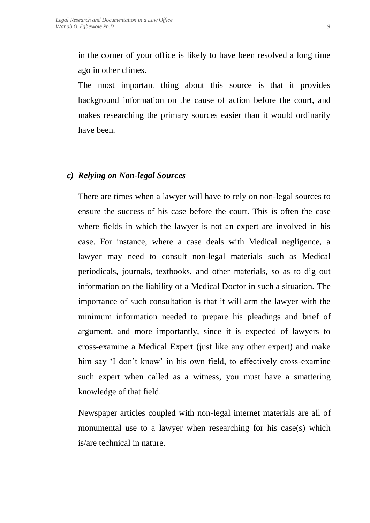in the corner of your office is likely to have been resolved a long time ago in other climes.

The most important thing about this source is that it provides background information on the cause of action before the court, and makes researching the primary sources easier than it would ordinarily have been.

### *c) Relying on Non-legal Sources*

There are times when a lawyer will have to rely on non-legal sources to ensure the success of his case before the court. This is often the case where fields in which the lawyer is not an expert are involved in his case. For instance, where a case deals with Medical negligence, a lawyer may need to consult non-legal materials such as Medical periodicals, journals, textbooks, and other materials, so as to dig out information on the liability of a Medical Doctor in such a situation. The importance of such consultation is that it will arm the lawyer with the minimum information needed to prepare his pleadings and brief of argument, and more importantly, since it is expected of lawyers to cross-examine a Medical Expert (just like any other expert) and make him say 'I don't know' in his own field, to effectively cross-examine such expert when called as a witness, you must have a smattering knowledge of that field.

Newspaper articles coupled with non-legal internet materials are all of monumental use to a lawyer when researching for his case(s) which is/are technical in nature.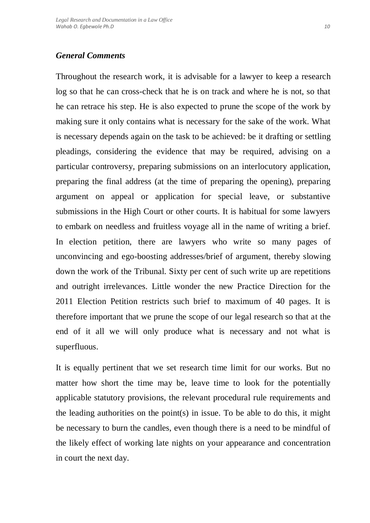## *General Comments*

Throughout the research work, it is advisable for a lawyer to keep a research log so that he can cross-check that he is on track and where he is not, so that he can retrace his step. He is also expected to prune the scope of the work by making sure it only contains what is necessary for the sake of the work. What is necessary depends again on the task to be achieved: be it drafting or settling pleadings, considering the evidence that may be required, advising on a particular controversy, preparing submissions on an interlocutory application, preparing the final address (at the time of preparing the opening), preparing argument on appeal or application for special leave, or substantive submissions in the High Court or other courts. It is habitual for some lawyers to embark on needless and fruitless voyage all in the name of writing a brief. In election petition, there are lawyers who write so many pages of unconvincing and ego-boosting addresses/brief of argument, thereby slowing down the work of the Tribunal. Sixty per cent of such write up are repetitions and outright irrelevances. Little wonder the new Practice Direction for the 2011 Election Petition restricts such brief to maximum of 40 pages. It is therefore important that we prune the scope of our legal research so that at the end of it all we will only produce what is necessary and not what is superfluous.

It is equally pertinent that we set research time limit for our works. But no matter how short the time may be, leave time to look for the potentially applicable statutory provisions, the relevant procedural rule requirements and the leading authorities on the point(s) in issue. To be able to do this, it might be necessary to burn the candles, even though there is a need to be mindful of the likely effect of working late nights on your appearance and concentration in court the next day.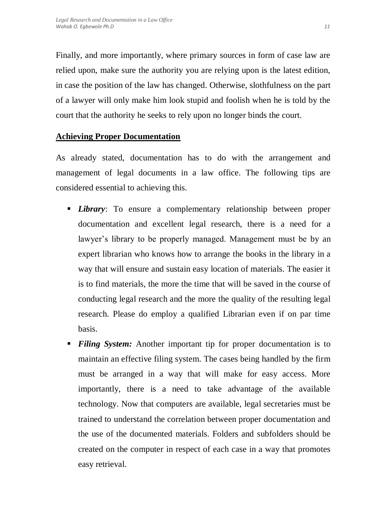Finally, and more importantly, where primary sources in form of case law are relied upon, make sure the authority you are relying upon is the latest edition, in case the position of the law has changed. Otherwise, slothfulness on the part of a lawyer will only make him look stupid and foolish when he is told by the court that the authority he seeks to rely upon no longer binds the court.

# **Achieving Proper Documentation**

As already stated, documentation has to do with the arrangement and management of legal documents in a law office. The following tips are considered essential to achieving this.

- *Library*: To ensure a complementary relationship between proper documentation and excellent legal research, there is a need for a lawyer's library to be properly managed. Management must be by an expert librarian who knows how to arrange the books in the library in a way that will ensure and sustain easy location of materials. The easier it is to find materials, the more the time that will be saved in the course of conducting legal research and the more the quality of the resulting legal research. Please do employ a qualified Librarian even if on par time basis.
- *Filing System:* Another important tip for proper documentation is to maintain an effective filing system. The cases being handled by the firm must be arranged in a way that will make for easy access. More importantly, there is a need to take advantage of the available technology. Now that computers are available, legal secretaries must be trained to understand the correlation between proper documentation and the use of the documented materials. Folders and subfolders should be created on the computer in respect of each case in a way that promotes easy retrieval.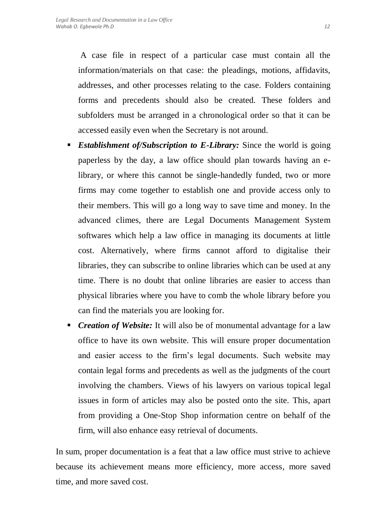A case file in respect of a particular case must contain all the information/materials on that case: the pleadings, motions, affidavits, addresses, and other processes relating to the case. Folders containing forms and precedents should also be created. These folders and subfolders must be arranged in a chronological order so that it can be accessed easily even when the Secretary is not around.

- *Establishment of/Subscription to E-Library:* Since the world is going paperless by the day, a law office should plan towards having an elibrary, or where this cannot be single-handedly funded, two or more firms may come together to establish one and provide access only to their members. This will go a long way to save time and money. In the advanced climes, there are Legal Documents Management System softwares which help a law office in managing its documents at little cost. Alternatively, where firms cannot afford to digitalise their libraries, they can subscribe to online libraries which can be used at any time. There is no doubt that online libraries are easier to access than physical libraries where you have to comb the whole library before you can find the materials you are looking for.
- *Creation of Website:* It will also be of monumental advantage for a law office to have its own website. This will ensure proper documentation and easier access to the firm's legal documents. Such website may contain legal forms and precedents as well as the judgments of the court involving the chambers. Views of his lawyers on various topical legal issues in form of articles may also be posted onto the site. This, apart from providing a One-Stop Shop information centre on behalf of the firm, will also enhance easy retrieval of documents.

In sum, proper documentation is a feat that a law office must strive to achieve because its achievement means more efficiency, more access, more saved time, and more saved cost.